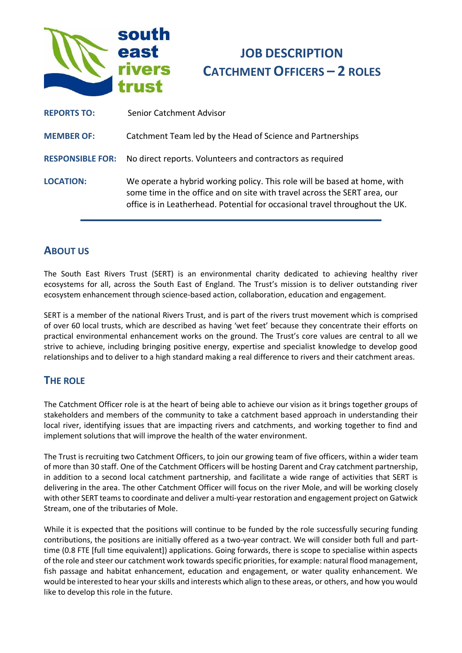

# **JOB DESCRIPTION CATCHMENT OFFICERS – 2 ROLES**

| <b>REPORTS TO:</b>      | Senior Catchment Advisor                                                                                                                                                                                                               |
|-------------------------|----------------------------------------------------------------------------------------------------------------------------------------------------------------------------------------------------------------------------------------|
| <b>MEMBER OF:</b>       | Catchment Team led by the Head of Science and Partnerships                                                                                                                                                                             |
| <b>RESPONSIBLE FOR:</b> | No direct reports. Volunteers and contractors as required                                                                                                                                                                              |
| <b>LOCATION:</b>        | We operate a hybrid working policy. This role will be based at home, with<br>some time in the office and on site with travel across the SERT area, our<br>office is in Leatherhead. Potential for occasional travel throughout the UK. |

# **ABOUT US**

The South East Rivers Trust (SERT) is an environmental charity dedicated to achieving healthy river ecosystems for all, across the South East of England. The Trust's mission is to deliver outstanding river ecosystem enhancement through science-based action, collaboration, education and engagement.

SERT is a member of the national Rivers Trust, and is part of the rivers trust movement which is comprised of over 60 local trusts, which are described as having 'wet feet' because they concentrate their efforts on practical environmental enhancement works on the ground. The Trust's core values are central to all we strive to achieve, including bringing positive energy, expertise and specialist knowledge to develop good relationships and to deliver to a high standard making a real difference to rivers and their catchment areas.

## **THE ROLE**

The Catchment Officer role is at the heart of being able to achieve our vision as it brings together groups of stakeholders and members of the community to take a catchment based approach in understanding their local river, identifying issues that are impacting rivers and catchments, and working together to find and implement solutions that will improve the health of the water environment.

The Trust is recruiting two Catchment Officers, to join our growing team of five officers, within a wider team of more than 30 staff. One of the Catchment Officers will be hosting Darent and Cray catchment partnership, in addition to a second local catchment partnership, and facilitate a wide range of activities that SERT is delivering in the area. The other Catchment Officer will focus on the river Mole, and will be working closely with other SERT teams to coordinate and deliver a multi-year restoration and engagement project on Gatwick Stream, one of the tributaries of Mole.

While it is expected that the positions will continue to be funded by the role successfully securing funding contributions, the positions are initially offered as a two-year contract. We will consider both full and parttime (0.8 FTE [full time equivalent]) applications. Going forwards, there is scope to specialise within aspects of the role and steer our catchment work towards specific priorities, for example: natural flood management, fish passage and habitat enhancement, education and engagement, or water quality enhancement. We would be interested to hear your skills and interests which align to these areas, or others, and how you would like to develop this role in the future.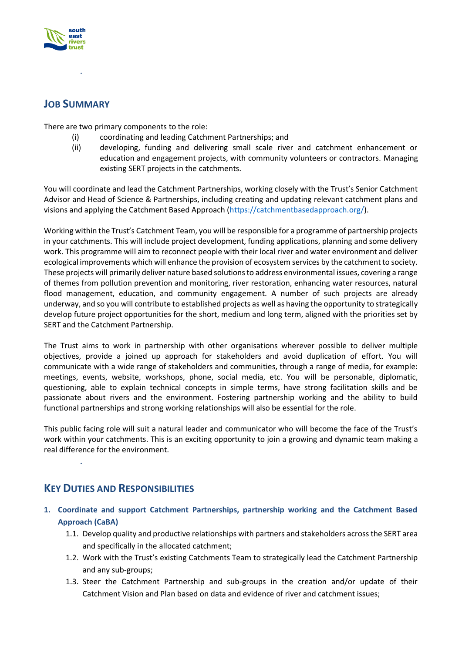

# **JOB SUMMARY**

There are two primary components to the role:

- (i) coordinating and leading Catchment Partnerships; and
- (ii) developing, funding and delivering small scale river and catchment enhancement or education and engagement projects, with community volunteers or contractors. Managing existing SERT projects in the catchments.

You will coordinate and lead the Catchment Partnerships, working closely with the Trust's Senior Catchment Advisor and Head of Science & Partnerships, including creating and updating relevant catchment plans and visions and applying the Catchment Based Approach [\(https://catchmentbasedapproach.org/\)](https://catchmentbasedapproach.org/).

Working within the Trust's Catchment Team, you will be responsible for a programme of partnership projects in your catchments. This will include project development, funding applications, planning and some delivery work. This programme will aim to reconnect people with their local river and water environment and deliver ecological improvements which will enhance the provision of ecosystem services by the catchment to society. These projects will primarily deliver nature based solutions to address environmental issues, covering a range of themes from pollution prevention and monitoring, river restoration, enhancing water resources, natural flood management, education, and community engagement. A number of such projects are already underway, and so you will contribute to established projects as well as having the opportunity to strategically develop future project opportunities for the short, medium and long term, aligned with the priorities set by SERT and the Catchment Partnership.

The Trust aims to work in partnership with other organisations wherever possible to deliver multiple objectives, provide a joined up approach for stakeholders and avoid duplication of effort. You will communicate with a wide range of stakeholders and communities, through a range of media, for example: meetings, events, website, workshops, phone, social media, etc. You will be personable, diplomatic, questioning, able to explain technical concepts in simple terms, have strong facilitation skills and be passionate about rivers and the environment. Fostering partnership working and the ability to build functional partnerships and strong working relationships will also be essential for the role.

This public facing role will suit a natural leader and communicator who will become the face of the Trust's work within your catchments. This is an exciting opportunity to join a growing and dynamic team making a real difference for the environment.

**KEY DUTIES AND RESPONSIBILITIES**

- **1. Coordinate and support Catchment Partnerships, partnership working and the Catchment Based Approach (CaBA)** 
	- 1.1. Develop quality and productive relationships with partners and stakeholders across the SERT area and specifically in the allocated catchment;
	- 1.2. Work with the Trust's existing Catchments Team to strategically lead the Catchment Partnership and any sub-groups;
	- 1.3. Steer the Catchment Partnership and sub-groups in the creation and/or update of their Catchment Vision and Plan based on data and evidence of river and catchment issues;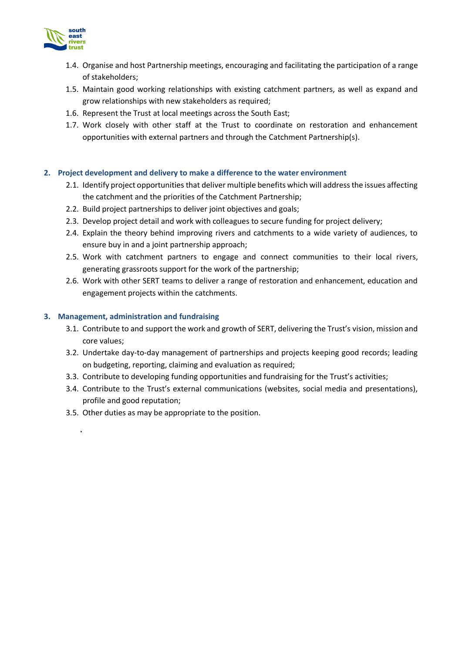

- 1.4. Organise and host Partnership meetings, encouraging and facilitating the participation of a range of stakeholders;
- 1.5. Maintain good working relationships with existing catchment partners, as well as expand and grow relationships with new stakeholders as required;
- 1.6. Represent the Trust at local meetings across the South East;
- 1.7. Work closely with other staff at the Trust to coordinate on restoration and enhancement opportunities with external partners and through the Catchment Partnership(s).

#### **2. Project development and delivery to make a difference to the water environment**

- 2.1. Identify project opportunities that deliver multiple benefits which will address the issues affecting the catchment and the priorities of the Catchment Partnership;
- 2.2. Build project partnerships to deliver joint objectives and goals;
- 2.3. Develop project detail and work with colleagues to secure funding for project delivery;
- 2.4. Explain the theory behind improving rivers and catchments to a wide variety of audiences, to ensure buy in and a joint partnership approach;
- 2.5. Work with catchment partners to engage and connect communities to their local rivers, generating grassroots support for the work of the partnership;
- 2.6. Work with other SERT teams to deliver a range of restoration and enhancement, education and engagement projects within the catchments.

#### **3. Management, administration and fundraising**

- 3.1. Contribute to and support the work and growth of SERT, delivering the Trust's vision, mission and core values;
- 3.2. Undertake day-to-day management of partnerships and projects keeping good records; leading on budgeting, reporting, claiming and evaluation as required;
- 3.3. Contribute to developing funding opportunities and fundraising for the Trust's activities;
- 3.4. Contribute to the Trust's external communications (websites, social media and presentations), profile and good reputation;
- 3.5. Other duties as may be appropriate to the position.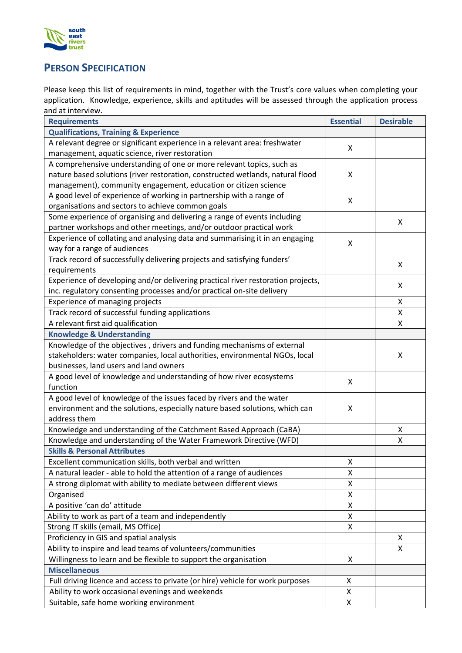

# **PERSON SPECIFICATION**

Please keep this list of requirements in mind, together with the Trust's core values when completing your application. Knowledge, experience, skills and aptitudes will be assessed through the application process and at interview.

| <b>Requirements</b>                                                              |   | <b>Desirable</b> |
|----------------------------------------------------------------------------------|---|------------------|
| <b>Qualifications, Training &amp; Experience</b>                                 |   |                  |
| A relevant degree or significant experience in a relevant area: freshwater       |   |                  |
| management, aquatic science, river restoration                                   |   |                  |
| A comprehensive understanding of one or more relevant topics, such as            |   |                  |
| nature based solutions (river restoration, constructed wetlands, natural flood   |   |                  |
| management), community engagement, education or citizen science                  |   |                  |
| A good level of experience of working in partnership with a range of             |   |                  |
| organisations and sectors to achieve common goals                                |   |                  |
| Some experience of organising and delivering a range of events including         |   | X                |
| partner workshops and other meetings, and/or outdoor practical work              |   |                  |
| Experience of collating and analysing data and summarising it in an engaging     |   |                  |
| way for a range of audiences                                                     |   |                  |
| Track record of successfully delivering projects and satisfying funders'         |   | X                |
| requirements                                                                     |   |                  |
| Experience of developing and/or delivering practical river restoration projects, |   | X                |
| inc. regulatory consenting processes and/or practical on-site delivery           |   |                  |
| Experience of managing projects                                                  |   | X                |
| Track record of successful funding applications                                  |   | Χ                |
| A relevant first aid qualification                                               |   | Χ                |
| <b>Knowledge &amp; Understanding</b>                                             |   |                  |
| Knowledge of the objectives, drivers and funding mechanisms of external          |   |                  |
| stakeholders: water companies, local authorities, environmental NGOs, local      |   | X                |
| businesses, land users and land owners                                           |   |                  |
| A good level of knowledge and understanding of how river ecosystems              |   |                  |
| function                                                                         |   |                  |
| A good level of knowledge of the issues faced by rivers and the water            |   |                  |
| environment and the solutions, especially nature based solutions, which can      |   |                  |
| address them                                                                     |   |                  |
| Knowledge and understanding of the Catchment Based Approach (CaBA)               |   | X                |
| Knowledge and understanding of the Water Framework Directive (WFD)               |   | X                |
| <b>Skills &amp; Personal Attributes</b>                                          | X |                  |
| Excellent communication skills, both verbal and written                          |   |                  |
| A natural leader - able to hold the attention of a range of audiences            |   |                  |
| A strong diplomat with ability to mediate between different views                |   |                  |
| Organised                                                                        |   |                  |
| A positive 'can do' attitude                                                     |   |                  |
| Ability to work as part of a team and independently                              |   |                  |
| Strong IT skills (email, MS Office)                                              |   |                  |
| Proficiency in GIS and spatial analysis                                          |   | Χ                |
| Ability to inspire and lead teams of volunteers/communities                      |   | X                |
| Willingness to learn and be flexible to support the organisation                 |   |                  |
| <b>Miscellaneous</b>                                                             |   |                  |
| Full driving licence and access to private (or hire) vehicle for work purposes   |   |                  |
| Ability to work occasional evenings and weekends                                 |   |                  |
| Suitable, safe home working environment                                          |   |                  |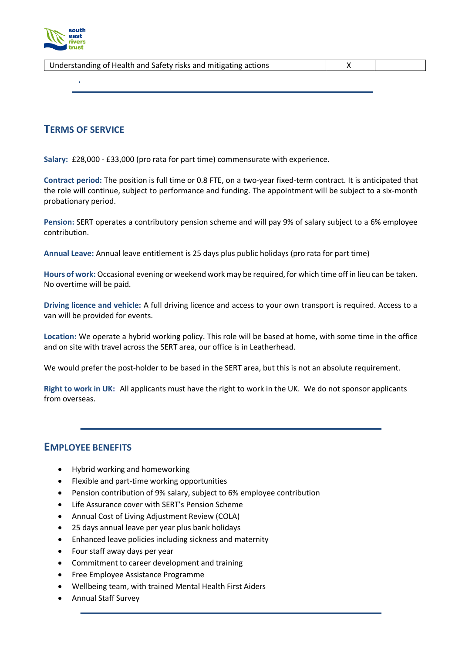

| Understanding of Health and Safety risks and mitigating actions |  |
|-----------------------------------------------------------------|--|
|                                                                 |  |

#### **TERMS OF SERVICE**

**Salary:** £28,000 - £33,000 (pro rata for part time) commensurate with experience.

**Contract period:** The position is full time or 0.8 FTE, on a two-year fixed-term contract. It is anticipated that the role will continue, subject to performance and funding. The appointment will be subject to a six-month probationary period.

**Pension:** SERT operates a contributory pension scheme and will pay 9% of salary subject to a 6% employee contribution.

**Annual Leave:** Annual leave entitlement is 25 days plus public holidays (pro rata for part time)

**Hours of work:** Occasional evening or weekend work may be required, for which time off in lieu can be taken. No overtime will be paid.

**Driving licence and vehicle:** A full driving licence and access to your own transport is required. Access to a van will be provided for events.

**Location:** We operate a hybrid working policy. This role will be based at home, with some time in the office and on site with travel across the SERT area, our office is in Leatherhead.

We would prefer the post-holder to be based in the SERT area, but this is not an absolute requirement.

**Right to work in UK:** All applicants must have the right to work in the UK. We do not sponsor applicants from overseas.

#### **EMPLOYEE BENEFITS**

- Hybrid working and homeworking
- Flexible and part-time working opportunities
- Pension contribution of 9% salary, subject to 6% employee contribution
- Life Assurance cover with SERT's Pension Scheme
- Annual Cost of Living Adjustment Review (COLA)
- 25 days annual leave per year plus bank holidays
- Enhanced leave policies including sickness and maternity
- Four staff away days per year
- Commitment to career development and training
- Free Employee Assistance Programme
- Wellbeing team, with trained Mental Health First Aiders
- Annual Staff Survey